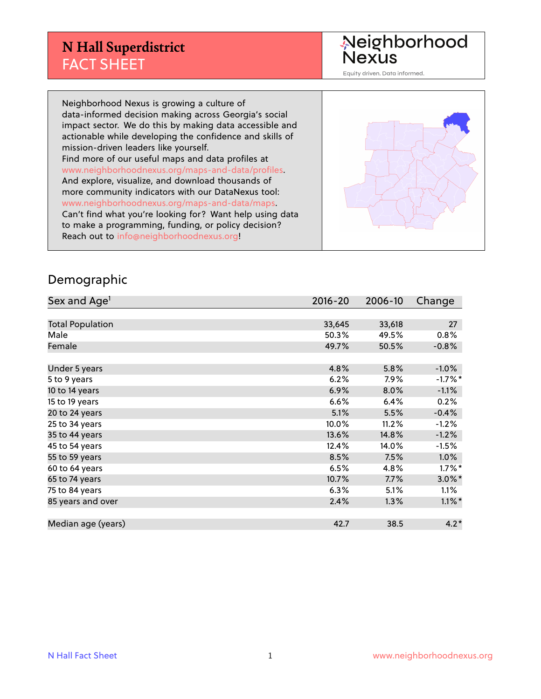Neighborhood<br>Nexus

Equity driven. Data informed.

Neighborhood Nexus is growing a culture of data-informed decision making across Georgia's social impact sector. We do this by making data accessible and actionable while developing the confidence and skills of mission-driven leaders like yourself. Find more of our useful maps and data profiles at www.neighborhoodnexus.org/maps-and-data/profiles. And explore, visualize, and download thousands of more community indicators with our DataNexus tool: www.neighborhoodnexus.org/maps-and-data/maps. Can't find what you're looking for? Want help using data to make a programming, funding, or policy decision? Reach out to [info@neighborhoodnexus.org!](mailto:info@neighborhoodnexus.org)



#### Demographic

| Sex and Age <sup>1</sup> | $2016 - 20$ | 2006-10 | Change    |
|--------------------------|-------------|---------|-----------|
|                          |             |         |           |
| <b>Total Population</b>  | 33,645      | 33,618  | 27        |
| Male                     | 50.3%       | 49.5%   | 0.8%      |
| Female                   | 49.7%       | 50.5%   | $-0.8%$   |
|                          |             |         |           |
| Under 5 years            | 4.8%        | 5.8%    | $-1.0%$   |
| 5 to 9 years             | 6.2%        | 7.9%    | $-1.7%$ * |
| 10 to 14 years           | 6.9%        | 8.0%    | $-1.1%$   |
| 15 to 19 years           | 6.6%        | 6.4%    | 0.2%      |
| 20 to 24 years           | 5.1%        | 5.5%    | $-0.4%$   |
| 25 to 34 years           | 10.0%       | 11.2%   | $-1.2%$   |
| 35 to 44 years           | 13.6%       | 14.8%   | $-1.2%$   |
| 45 to 54 years           | 12.4%       | 14.0%   | $-1.5%$   |
| 55 to 59 years           | 8.5%        | 7.5%    | 1.0%      |
| 60 to 64 years           | 6.5%        | 4.8%    | $1.7\%$ * |
| 65 to 74 years           | 10.7%       | 7.7%    | $3.0\%$ * |
| 75 to 84 years           | 6.3%        | 5.1%    | 1.1%      |
| 85 years and over        | 2.4%        | 1.3%    | $1.1\%$ * |
|                          |             |         |           |
| Median age (years)       | 42.7        | 38.5    | $4.2*$    |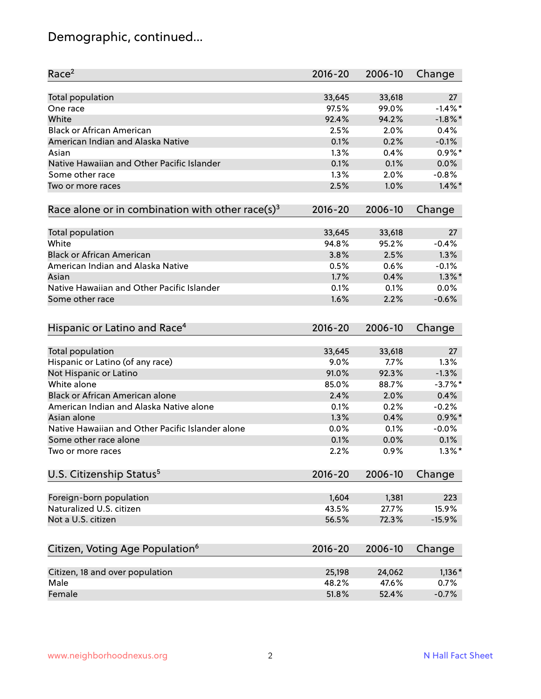# Demographic, continued...

| Race <sup>2</sup>                                            | $2016 - 20$ | 2006-10 | Change     |
|--------------------------------------------------------------|-------------|---------|------------|
| <b>Total population</b>                                      | 33,645      | 33,618  | 27         |
| One race                                                     | 97.5%       | 99.0%   | $-1.4\%$ * |
| White                                                        | 92.4%       | 94.2%   | $-1.8\%$ * |
| <b>Black or African American</b>                             | 2.5%        | 2.0%    | 0.4%       |
| American Indian and Alaska Native                            | 0.1%        | 0.2%    | $-0.1%$    |
| Asian                                                        | 1.3%        | 0.4%    | $0.9\%$ *  |
| Native Hawaiian and Other Pacific Islander                   | 0.1%        | 0.1%    | 0.0%       |
| Some other race                                              | 1.3%        | 2.0%    | $-0.8%$    |
| Two or more races                                            | 2.5%        | 1.0%    | $1.4\%$ *  |
| Race alone or in combination with other race(s) <sup>3</sup> | $2016 - 20$ | 2006-10 | Change     |
| <b>Total population</b>                                      | 33,645      | 33,618  | 27         |
| White                                                        | 94.8%       | 95.2%   | $-0.4%$    |
| <b>Black or African American</b>                             | 3.8%        | 2.5%    | 1.3%       |
| American Indian and Alaska Native                            | 0.5%        | 0.6%    | $-0.1%$    |
| Asian                                                        | 1.7%        | 0.4%    | $1.3\%$ *  |
| Native Hawaiian and Other Pacific Islander                   | 0.1%        | 0.1%    | 0.0%       |
| Some other race                                              | 1.6%        | 2.2%    | $-0.6%$    |
|                                                              |             |         |            |
| Hispanic or Latino and Race <sup>4</sup>                     | $2016 - 20$ | 2006-10 | Change     |
| <b>Total population</b>                                      | 33,645      | 33,618  | 27         |
| Hispanic or Latino (of any race)                             | 9.0%        | 7.7%    | 1.3%       |
| Not Hispanic or Latino                                       | 91.0%       | 92.3%   | $-1.3%$    |
| White alone                                                  | 85.0%       | 88.7%   | $-3.7\%$ * |
| Black or African American alone                              | 2.4%        | 2.0%    | 0.4%       |
| American Indian and Alaska Native alone                      | 0.1%        | 0.2%    | $-0.2%$    |
| Asian alone                                                  | 1.3%        | 0.4%    | $0.9\%$ *  |
| Native Hawaiian and Other Pacific Islander alone             | $0.0\%$     | 0.1%    | $-0.0%$    |
| Some other race alone                                        | 0.1%        | 0.0%    | 0.1%       |
| Two or more races                                            | 2.2%        | 0.9%    | $1.3\%$ *  |
| U.S. Citizenship Status <sup>5</sup>                         | $2016 - 20$ | 2006-10 | Change     |
|                                                              |             |         |            |
| Foreign-born population                                      | 1,604       | 1,381   | 223        |
| Naturalized U.S. citizen                                     | 43.5%       | 27.7%   | 15.9%      |
| Not a U.S. citizen                                           | 56.5%       | 72.3%   | $-15.9%$   |
| Citizen, Voting Age Population <sup>6</sup>                  | 2016-20     | 2006-10 | Change     |
| Citizen, 18 and over population                              | 25,198      | 24,062  | $1,136*$   |
| Male                                                         | 48.2%       | 47.6%   | 0.7%       |
| Female                                                       | 51.8%       | 52.4%   | $-0.7%$    |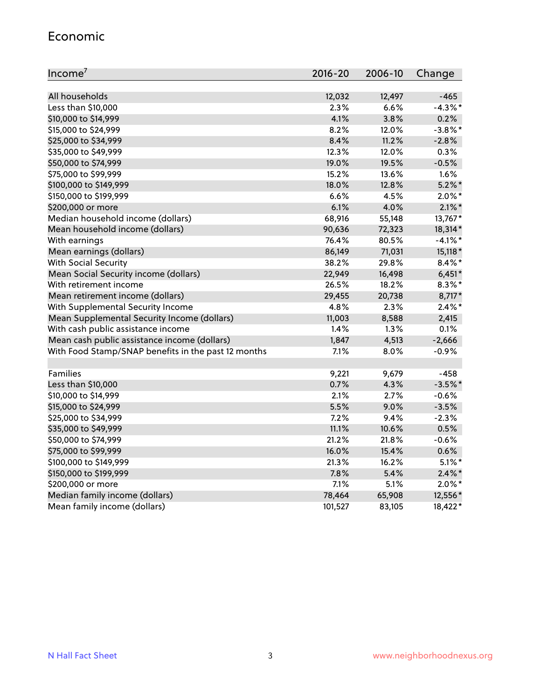#### Economic

| Income <sup>7</sup>                                 | 2016-20 | 2006-10 | Change     |
|-----------------------------------------------------|---------|---------|------------|
|                                                     |         |         |            |
| All households                                      | 12,032  | 12,497  | $-465$     |
| Less than \$10,000                                  | 2.3%    | 6.6%    | $-4.3\%$ * |
| \$10,000 to \$14,999                                | 4.1%    | 3.8%    | 0.2%       |
| \$15,000 to \$24,999                                | 8.2%    | 12.0%   | $-3.8\%$ * |
| \$25,000 to \$34,999                                | 8.4%    | 11.2%   | $-2.8%$    |
| \$35,000 to \$49,999                                | 12.3%   | 12.0%   | 0.3%       |
| \$50,000 to \$74,999                                | 19.0%   | 19.5%   | $-0.5%$    |
| \$75,000 to \$99,999                                | 15.2%   | 13.6%   | $1.6\%$    |
| \$100,000 to \$149,999                              | 18.0%   | 12.8%   | $5.2\%$ *  |
| \$150,000 to \$199,999                              | 6.6%    | 4.5%    | $2.0\%$ *  |
| \$200,000 or more                                   | 6.1%    | 4.0%    | $2.1\%$ *  |
| Median household income (dollars)                   | 68,916  | 55,148  | 13,767*    |
| Mean household income (dollars)                     | 90,636  | 72,323  | 18,314*    |
| With earnings                                       | 76.4%   | 80.5%   | $-4.1\%$ * |
| Mean earnings (dollars)                             | 86,149  | 71,031  | 15,118 *   |
| <b>With Social Security</b>                         | 38.2%   | 29.8%   | $8.4\%$ *  |
| Mean Social Security income (dollars)               | 22,949  | 16,498  | $6,451*$   |
| With retirement income                              | 26.5%   | 18.2%   | $8.3\%$ *  |
| Mean retirement income (dollars)                    | 29,455  | 20,738  | 8,717*     |
| With Supplemental Security Income                   | 4.8%    | 2.3%    | $2.4\%$ *  |
| Mean Supplemental Security Income (dollars)         | 11,003  | 8,588   | 2,415      |
| With cash public assistance income                  | 1.4%    | 1.3%    | 0.1%       |
| Mean cash public assistance income (dollars)        | 1,847   | 4,513   | $-2,666$   |
| With Food Stamp/SNAP benefits in the past 12 months | 7.1%    | 8.0%    | $-0.9%$    |
|                                                     |         |         |            |
| Families                                            | 9,221   | 9,679   | $-458$     |
| Less than \$10,000                                  | 0.7%    | 4.3%    | $-3.5%$ *  |
| \$10,000 to \$14,999                                | 2.1%    | 2.7%    | $-0.6%$    |
| \$15,000 to \$24,999                                | 5.5%    | 9.0%    | $-3.5%$    |
| \$25,000 to \$34,999                                | 7.2%    | 9.4%    | $-2.3%$    |
| \$35,000 to \$49,999                                | 11.1%   | 10.6%   | 0.5%       |
| \$50,000 to \$74,999                                | 21.2%   | 21.8%   | $-0.6%$    |
| \$75,000 to \$99,999                                | 16.0%   | 15.4%   | 0.6%       |
| \$100,000 to \$149,999                              | 21.3%   | 16.2%   | $5.1\%$ *  |
| \$150,000 to \$199,999                              | 7.8%    | 5.4%    | $2.4\%$ *  |
| \$200,000 or more                                   | 7.1%    | 5.1%    | $2.0\%$ *  |
| Median family income (dollars)                      | 78,464  | 65,908  | 12,556*    |
| Mean family income (dollars)                        | 101,527 | 83,105  | 18,422*    |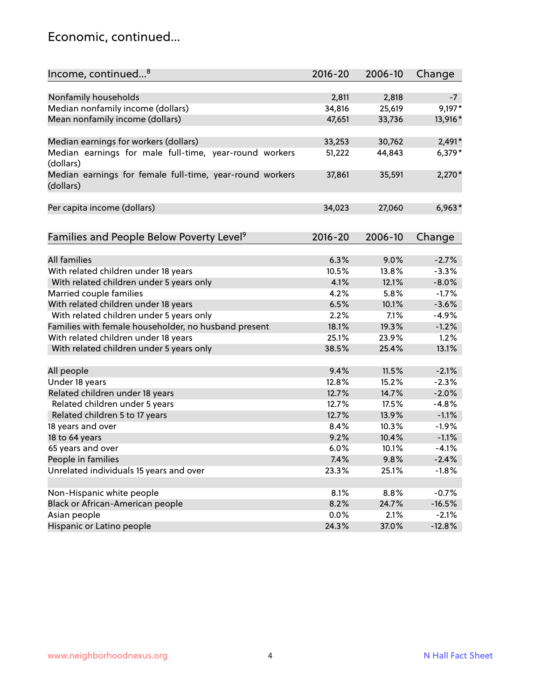#### Economic, continued...

| Income, continued <sup>8</sup>                                        | $2016 - 20$ | 2006-10 | Change   |
|-----------------------------------------------------------------------|-------------|---------|----------|
|                                                                       |             |         |          |
| Nonfamily households                                                  | 2,811       | 2,818   | $-7$     |
| Median nonfamily income (dollars)                                     | 34,816      | 25,619  | $9,197*$ |
| Mean nonfamily income (dollars)                                       | 47,651      | 33,736  | 13,916*  |
| Median earnings for workers (dollars)                                 | 33,253      | 30,762  | $2,491*$ |
| Median earnings for male full-time, year-round workers                | 51,222      | 44,843  | $6,379*$ |
| (dollars)                                                             |             |         |          |
| Median earnings for female full-time, year-round workers<br>(dollars) | 37,861      | 35,591  | $2,270*$ |
| Per capita income (dollars)                                           | 34,023      | 27,060  | $6,963*$ |
|                                                                       |             |         |          |
| Families and People Below Poverty Level <sup>9</sup>                  | $2016 - 20$ | 2006-10 | Change   |
|                                                                       |             |         |          |
| <b>All families</b>                                                   | 6.3%        | 9.0%    | $-2.7%$  |
| With related children under 18 years                                  | 10.5%       | 13.8%   | $-3.3%$  |
| With related children under 5 years only                              | 4.1%        | 12.1%   | $-8.0%$  |
| Married couple families                                               | 4.2%        | 5.8%    | $-1.7%$  |
| With related children under 18 years                                  | 6.5%        | 10.1%   | $-3.6%$  |
| With related children under 5 years only                              | 2.2%        | 7.1%    | $-4.9%$  |
| Families with female householder, no husband present                  | 18.1%       | 19.3%   | $-1.2%$  |
| With related children under 18 years                                  | 25.1%       | 23.9%   | 1.2%     |
| With related children under 5 years only                              | 38.5%       | 25.4%   | 13.1%    |
| All people                                                            | 9.4%        | 11.5%   | $-2.1%$  |
| Under 18 years                                                        | 12.8%       | 15.2%   | $-2.3%$  |
| Related children under 18 years                                       | 12.7%       | 14.7%   | $-2.0%$  |
| Related children under 5 years                                        | 12.7%       | 17.5%   | $-4.8%$  |
| Related children 5 to 17 years                                        | 12.7%       | 13.9%   | $-1.1%$  |
| 18 years and over                                                     | 8.4%        | 10.3%   | $-1.9%$  |
| 18 to 64 years                                                        | 9.2%        | 10.4%   | $-1.1%$  |
| 65 years and over                                                     | 6.0%        | 10.1%   | $-4.1%$  |
| People in families                                                    | 7.4%        | 9.8%    | $-2.4%$  |
| Unrelated individuals 15 years and over                               | 23.3%       | 25.1%   | $-1.8%$  |
|                                                                       |             |         |          |
| Non-Hispanic white people                                             | 8.1%        | 8.8%    | $-0.7%$  |
| Black or African-American people                                      | 8.2%        | 24.7%   | $-16.5%$ |
| Asian people                                                          | 0.0%        | 2.1%    | $-2.1%$  |
| Hispanic or Latino people                                             | 24.3%       | 37.0%   | $-12.8%$ |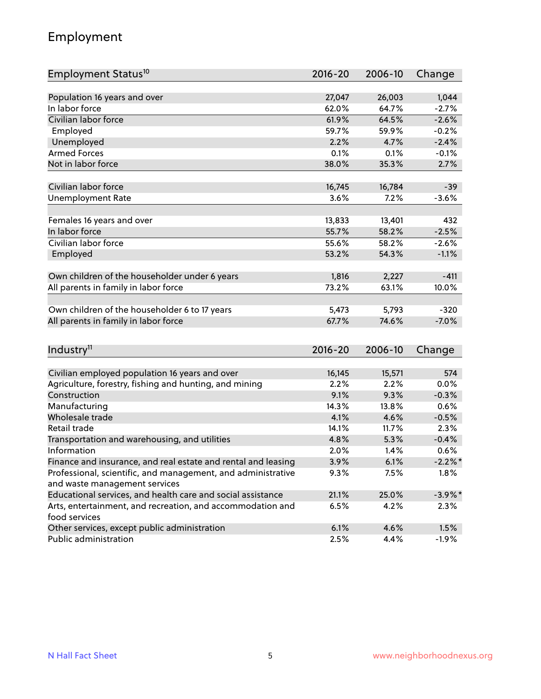## Employment

| Employment Status <sup>10</sup>                               | $2016 - 20$ | 2006-10 | Change     |
|---------------------------------------------------------------|-------------|---------|------------|
|                                                               |             |         |            |
| Population 16 years and over                                  | 27,047      | 26,003  | 1,044      |
| In labor force                                                | 62.0%       | 64.7%   | $-2.7%$    |
| Civilian labor force                                          | 61.9%       | 64.5%   | $-2.6%$    |
| Employed                                                      | 59.7%       | 59.9%   | $-0.2%$    |
| Unemployed                                                    | 2.2%        | 4.7%    | $-2.4%$    |
| <b>Armed Forces</b>                                           | 0.1%        | 0.1%    | $-0.1%$    |
| Not in labor force                                            | 38.0%       | 35.3%   | 2.7%       |
|                                                               |             |         |            |
| Civilian labor force                                          | 16,745      | 16,784  | $-39$      |
| <b>Unemployment Rate</b>                                      | 3.6%        | 7.2%    | $-3.6%$    |
| Females 16 years and over                                     | 13,833      | 13,401  | 432        |
| In labor force                                                | 55.7%       | 58.2%   | $-2.5%$    |
| Civilian labor force                                          | 55.6%       | 58.2%   | $-2.6%$    |
|                                                               | 53.2%       |         | $-1.1%$    |
| Employed                                                      |             | 54.3%   |            |
| Own children of the householder under 6 years                 | 1,816       | 2,227   | $-411$     |
| All parents in family in labor force                          | 73.2%       | 63.1%   | 10.0%      |
|                                                               |             |         |            |
| Own children of the householder 6 to 17 years                 | 5,473       | 5,793   | $-320$     |
| All parents in family in labor force                          | 67.7%       | 74.6%   | $-7.0%$    |
|                                                               |             |         |            |
| Industry <sup>11</sup>                                        | $2016 - 20$ | 2006-10 | Change     |
|                                                               |             |         |            |
| Civilian employed population 16 years and over                | 16,145      | 15,571  | 574        |
| Agriculture, forestry, fishing and hunting, and mining        | 2.2%        | 2.2%    | 0.0%       |
| Construction                                                  | 9.1%        | 9.3%    | $-0.3%$    |
| Manufacturing                                                 | 14.3%       | 13.8%   | 0.6%       |
| Wholesale trade                                               | 4.1%        | 4.6%    | $-0.5%$    |
| Retail trade                                                  | 14.1%       | 11.7%   | 2.3%       |
| Transportation and warehousing, and utilities                 | 4.8%        | 5.3%    | $-0.4%$    |
| Information                                                   | 2.0%        | 1.4%    | 0.6%       |
| Finance and insurance, and real estate and rental and leasing | 3.9%        | 6.1%    | $-2.2\%$ * |
| Professional, scientific, and management, and administrative  | $9.3\%$     | 7.5%    | 1.8%       |
| and waste management services                                 |             |         |            |
| Educational services, and health care and social assistance   | 21.1%       | 25.0%   | $-3.9\%$ * |
| Arts, entertainment, and recreation, and accommodation and    | 6.5%        | 4.2%    | $2.3\%$    |
| food services                                                 |             |         |            |
| Other services, except public administration                  | 6.1%        | 4.6%    | 1.5%       |
| Public administration                                         | 2.5%        | 4.4%    | $-1.9%$    |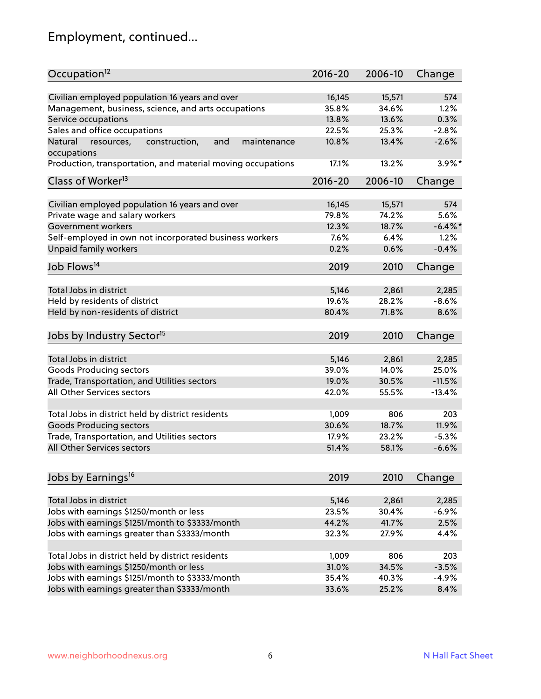# Employment, continued...

| Occupation <sup>12</sup>                                                    | $2016 - 20$ | 2006-10 | Change     |
|-----------------------------------------------------------------------------|-------------|---------|------------|
| Civilian employed population 16 years and over                              | 16,145      | 15,571  | 574        |
|                                                                             | 35.8%       | 34.6%   | 1.2%       |
| Management, business, science, and arts occupations                         | 13.8%       | 13.6%   | 0.3%       |
| Service occupations                                                         |             |         |            |
| Sales and office occupations                                                | 22.5%       | 25.3%   | $-2.8%$    |
| Natural<br>and<br>resources,<br>construction,<br>maintenance<br>occupations | 10.8%       | 13.4%   | $-2.6%$    |
| Production, transportation, and material moving occupations                 | 17.1%       | 13.2%   | $3.9\%$ *  |
| Class of Worker <sup>13</sup>                                               | $2016 - 20$ | 2006-10 | Change     |
|                                                                             |             |         |            |
| Civilian employed population 16 years and over                              | 16,145      | 15,571  | 574        |
| Private wage and salary workers                                             | 79.8%       | 74.2%   | 5.6%       |
| Government workers                                                          | 12.3%       | 18.7%   | $-6.4\%$ * |
| Self-employed in own not incorporated business workers                      | 7.6%        | 6.4%    | 1.2%       |
| Unpaid family workers                                                       | 0.2%        | 0.6%    | $-0.4%$    |
| Job Flows <sup>14</sup>                                                     | 2019        | 2010    | Change     |
|                                                                             |             |         |            |
| Total Jobs in district                                                      | 5,146       | 2,861   | 2,285      |
| Held by residents of district                                               | 19.6%       | 28.2%   | $-8.6%$    |
| Held by non-residents of district                                           | 80.4%       | 71.8%   | 8.6%       |
| Jobs by Industry Sector <sup>15</sup>                                       | 2019        | 2010    | Change     |
|                                                                             |             |         |            |
| Total Jobs in district                                                      | 5,146       | 2,861   | 2,285      |
| Goods Producing sectors                                                     | 39.0%       | 14.0%   | 25.0%      |
| Trade, Transportation, and Utilities sectors                                | 19.0%       | 30.5%   | $-11.5%$   |
| All Other Services sectors                                                  | 42.0%       | 55.5%   | $-13.4%$   |
|                                                                             |             |         |            |
| Total Jobs in district held by district residents                           | 1,009       | 806     | 203        |
| <b>Goods Producing sectors</b>                                              | 30.6%       | 18.7%   | 11.9%      |
| Trade, Transportation, and Utilities sectors                                | 17.9%       | 23.2%   | $-5.3%$    |
| All Other Services sectors                                                  | 51.4%       | 58.1%   | $-6.6%$    |
|                                                                             |             |         |            |
| Jobs by Earnings <sup>16</sup>                                              | 2019        | 2010    | Change     |
|                                                                             |             |         |            |
| Total Jobs in district                                                      | 5,146       | 2,861   | 2,285      |
| Jobs with earnings \$1250/month or less                                     | 23.5%       | 30.4%   | $-6.9%$    |
| Jobs with earnings \$1251/month to \$3333/month                             | 44.2%       | 41.7%   | 2.5%       |
| Jobs with earnings greater than \$3333/month                                | 32.3%       | 27.9%   | 4.4%       |
| Total Jobs in district held by district residents                           | 1,009       | 806     | 203        |
| Jobs with earnings \$1250/month or less                                     | 31.0%       | 34.5%   | $-3.5%$    |
| Jobs with earnings \$1251/month to \$3333/month                             | 35.4%       | 40.3%   | $-4.9%$    |
| Jobs with earnings greater than \$3333/month                                | 33.6%       | 25.2%   | 8.4%       |
|                                                                             |             |         |            |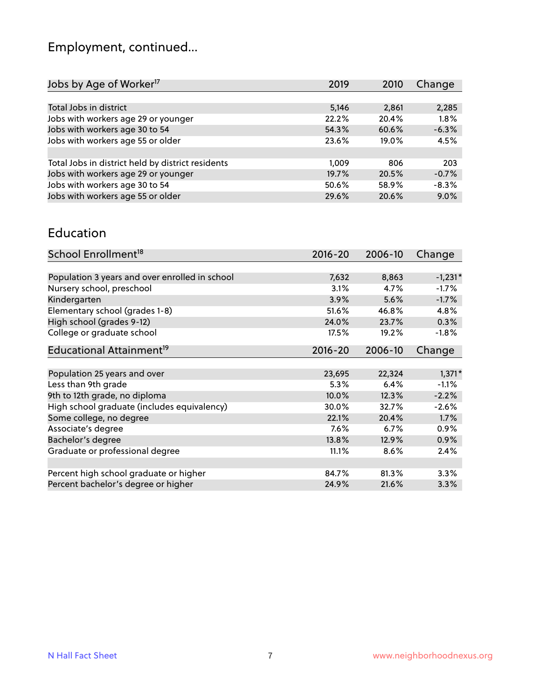# Employment, continued...

| Jobs by Age of Worker <sup>17</sup>               | 2019  | 2010  | Change  |
|---------------------------------------------------|-------|-------|---------|
|                                                   |       |       |         |
| Total Jobs in district                            | 5,146 | 2,861 | 2,285   |
| Jobs with workers age 29 or younger               | 22.2% | 20.4% | 1.8%    |
| Jobs with workers age 30 to 54                    | 54.3% | 60.6% | $-6.3%$ |
| Jobs with workers age 55 or older                 | 23.6% | 19.0% | 4.5%    |
|                                                   |       |       |         |
| Total Jobs in district held by district residents | 1.009 | 806   | 203     |
| Jobs with workers age 29 or younger               | 19.7% | 20.5% | $-0.7%$ |
| Jobs with workers age 30 to 54                    | 50.6% | 58.9% | $-8.3%$ |
| Jobs with workers age 55 or older                 | 29.6% | 20.6% | 9.0%    |
|                                                   |       |       |         |

#### Education

| School Enrollment <sup>18</sup>                | $2016 - 20$ | 2006-10 | Change    |
|------------------------------------------------|-------------|---------|-----------|
|                                                |             |         |           |
| Population 3 years and over enrolled in school | 7,632       | 8,863   | $-1,231*$ |
| Nursery school, preschool                      | 3.1%        | 4.7%    | $-1.7%$   |
| Kindergarten                                   | 3.9%        | 5.6%    | $-1.7%$   |
| Elementary school (grades 1-8)                 | 51.6%       | 46.8%   | 4.8%      |
| High school (grades 9-12)                      | 24.0%       | 23.7%   | 0.3%      |
| College or graduate school                     | 17.5%       | 19.2%   | $-1.8%$   |
| Educational Attainment <sup>19</sup>           | $2016 - 20$ | 2006-10 | Change    |
|                                                |             |         |           |
| Population 25 years and over                   | 23,695      | 22,324  | $1,371*$  |
| Less than 9th grade                            | 5.3%        | 6.4%    | $-1.1%$   |
| 9th to 12th grade, no diploma                  | 10.0%       | 12.3%   | $-2.2%$   |
| High school graduate (includes equivalency)    | 30.0%       | 32.7%   | $-2.6%$   |
| Some college, no degree                        | 22.1%       | 20.4%   | 1.7%      |
| Associate's degree                             | 7.6%        | 6.7%    | 0.9%      |
| Bachelor's degree                              | 13.8%       | 12.9%   | 0.9%      |
| Graduate or professional degree                | 11.1%       | 8.6%    | 2.4%      |
|                                                |             |         |           |
| Percent high school graduate or higher         | 84.7%       | 81.3%   | 3.3%      |
| Percent bachelor's degree or higher            | 24.9%       | 21.6%   | 3.3%      |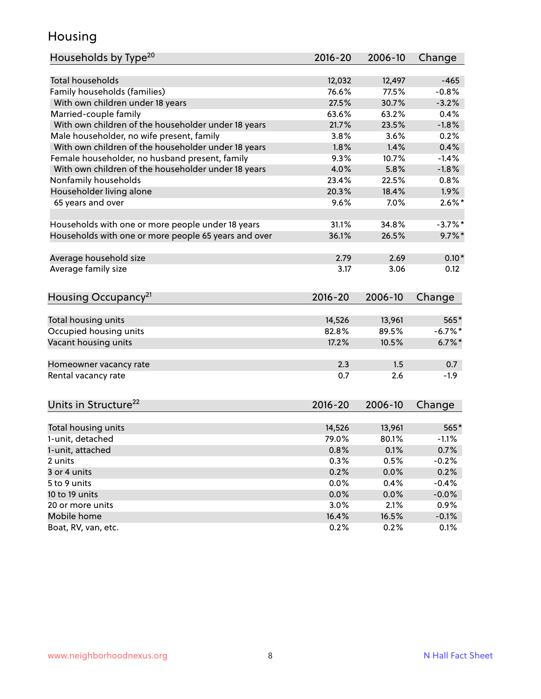## Housing

| <b>Total households</b><br>12,032<br>$-465$<br>12,497<br>Family households (families)<br>76.6%<br>77.5%<br>$-0.8%$<br>With own children under 18 years<br>27.5%<br>30.7%<br>$-3.2%$<br>Married-couple family<br>63.6%<br>63.2%<br>0.4%<br>With own children of the householder under 18 years<br>21.7%<br>23.5%<br>$-1.8%$<br>Male householder, no wife present, family<br>3.8%<br>3.6%<br>0.2%<br>With own children of the householder under 18 years<br>1.8%<br>1.4%<br>0.4%<br>Female householder, no husband present, family<br>9.3%<br>10.7%<br>$-1.4%$<br>With own children of the householder under 18 years<br>4.0%<br>$-1.8%$<br>5.8%<br>Nonfamily households<br>23.4%<br>22.5%<br>0.8%<br>Householder living alone<br>20.3%<br>1.9%<br>18.4%<br>$2.6\%$ *<br>65 years and over<br>9.6%<br>7.0%<br>31.1%<br>34.8%<br>Households with one or more people under 18 years<br>$-3.7%$ *<br>Households with one or more people 65 years and over<br>36.1%<br>26.5%<br>$9.7\%$ *<br>$0.10*$<br>Average household size<br>2.79<br>2.69<br>Average family size<br>3.17<br>3.06<br>0.12<br>Housing Occupancy <sup>21</sup><br>$2016 - 20$<br>2006-10<br>Change<br>Total housing units<br>14,526<br>13,961<br>565*<br>82.8%<br>Occupied housing units<br>89.5%<br>$-6.7%$ *<br>Vacant housing units<br>17.2%<br>$6.7\%$ *<br>10.5%<br>2.3<br>1.5<br>0.7<br>Homeowner vacancy rate<br>0.7<br>$-1.9$<br>Rental vacancy rate<br>2.6<br>Units in Structure <sup>22</sup><br>2016-20<br>2006-10<br>Change<br>Total housing units<br>14,526<br>13,961<br>565*<br>1-unit, detached<br>79.0%<br>80.1%<br>$-1.1%$<br>1-unit, attached<br>0.8%<br>0.1%<br>0.7%<br>0.3%<br>0.5%<br>$-0.2%$<br>2 units<br>3 or 4 units<br>0.2%<br>0.0%<br>0.2%<br>5 to 9 units<br>0.0%<br>0.4%<br>$-0.4%$<br>10 to 19 units<br>0.0%<br>0.0%<br>$-0.0%$<br>20 or more units<br>3.0%<br>2.1%<br>0.9%<br>Mobile home<br>16.4%<br>16.5%<br>$-0.1%$ | Households by Type <sup>20</sup> | 2016-20 | 2006-10 | Change  |
|-------------------------------------------------------------------------------------------------------------------------------------------------------------------------------------------------------------------------------------------------------------------------------------------------------------------------------------------------------------------------------------------------------------------------------------------------------------------------------------------------------------------------------------------------------------------------------------------------------------------------------------------------------------------------------------------------------------------------------------------------------------------------------------------------------------------------------------------------------------------------------------------------------------------------------------------------------------------------------------------------------------------------------------------------------------------------------------------------------------------------------------------------------------------------------------------------------------------------------------------------------------------------------------------------------------------------------------------------------------------------------------------------------------------------------------------------------------------------------------------------------------------------------------------------------------------------------------------------------------------------------------------------------------------------------------------------------------------------------------------------------------------------------------------------------------------------------------------------------------------------------------------------------------------|----------------------------------|---------|---------|---------|
|                                                                                                                                                                                                                                                                                                                                                                                                                                                                                                                                                                                                                                                                                                                                                                                                                                                                                                                                                                                                                                                                                                                                                                                                                                                                                                                                                                                                                                                                                                                                                                                                                                                                                                                                                                                                                                                                                                                   |                                  |         |         |         |
|                                                                                                                                                                                                                                                                                                                                                                                                                                                                                                                                                                                                                                                                                                                                                                                                                                                                                                                                                                                                                                                                                                                                                                                                                                                                                                                                                                                                                                                                                                                                                                                                                                                                                                                                                                                                                                                                                                                   |                                  |         |         |         |
|                                                                                                                                                                                                                                                                                                                                                                                                                                                                                                                                                                                                                                                                                                                                                                                                                                                                                                                                                                                                                                                                                                                                                                                                                                                                                                                                                                                                                                                                                                                                                                                                                                                                                                                                                                                                                                                                                                                   |                                  |         |         |         |
|                                                                                                                                                                                                                                                                                                                                                                                                                                                                                                                                                                                                                                                                                                                                                                                                                                                                                                                                                                                                                                                                                                                                                                                                                                                                                                                                                                                                                                                                                                                                                                                                                                                                                                                                                                                                                                                                                                                   |                                  |         |         |         |
|                                                                                                                                                                                                                                                                                                                                                                                                                                                                                                                                                                                                                                                                                                                                                                                                                                                                                                                                                                                                                                                                                                                                                                                                                                                                                                                                                                                                                                                                                                                                                                                                                                                                                                                                                                                                                                                                                                                   |                                  |         |         |         |
|                                                                                                                                                                                                                                                                                                                                                                                                                                                                                                                                                                                                                                                                                                                                                                                                                                                                                                                                                                                                                                                                                                                                                                                                                                                                                                                                                                                                                                                                                                                                                                                                                                                                                                                                                                                                                                                                                                                   |                                  |         |         |         |
|                                                                                                                                                                                                                                                                                                                                                                                                                                                                                                                                                                                                                                                                                                                                                                                                                                                                                                                                                                                                                                                                                                                                                                                                                                                                                                                                                                                                                                                                                                                                                                                                                                                                                                                                                                                                                                                                                                                   |                                  |         |         |         |
|                                                                                                                                                                                                                                                                                                                                                                                                                                                                                                                                                                                                                                                                                                                                                                                                                                                                                                                                                                                                                                                                                                                                                                                                                                                                                                                                                                                                                                                                                                                                                                                                                                                                                                                                                                                                                                                                                                                   |                                  |         |         |         |
|                                                                                                                                                                                                                                                                                                                                                                                                                                                                                                                                                                                                                                                                                                                                                                                                                                                                                                                                                                                                                                                                                                                                                                                                                                                                                                                                                                                                                                                                                                                                                                                                                                                                                                                                                                                                                                                                                                                   |                                  |         |         |         |
|                                                                                                                                                                                                                                                                                                                                                                                                                                                                                                                                                                                                                                                                                                                                                                                                                                                                                                                                                                                                                                                                                                                                                                                                                                                                                                                                                                                                                                                                                                                                                                                                                                                                                                                                                                                                                                                                                                                   |                                  |         |         |         |
|                                                                                                                                                                                                                                                                                                                                                                                                                                                                                                                                                                                                                                                                                                                                                                                                                                                                                                                                                                                                                                                                                                                                                                                                                                                                                                                                                                                                                                                                                                                                                                                                                                                                                                                                                                                                                                                                                                                   |                                  |         |         |         |
|                                                                                                                                                                                                                                                                                                                                                                                                                                                                                                                                                                                                                                                                                                                                                                                                                                                                                                                                                                                                                                                                                                                                                                                                                                                                                                                                                                                                                                                                                                                                                                                                                                                                                                                                                                                                                                                                                                                   |                                  |         |         |         |
|                                                                                                                                                                                                                                                                                                                                                                                                                                                                                                                                                                                                                                                                                                                                                                                                                                                                                                                                                                                                                                                                                                                                                                                                                                                                                                                                                                                                                                                                                                                                                                                                                                                                                                                                                                                                                                                                                                                   |                                  |         |         |         |
|                                                                                                                                                                                                                                                                                                                                                                                                                                                                                                                                                                                                                                                                                                                                                                                                                                                                                                                                                                                                                                                                                                                                                                                                                                                                                                                                                                                                                                                                                                                                                                                                                                                                                                                                                                                                                                                                                                                   |                                  |         |         |         |
|                                                                                                                                                                                                                                                                                                                                                                                                                                                                                                                                                                                                                                                                                                                                                                                                                                                                                                                                                                                                                                                                                                                                                                                                                                                                                                                                                                                                                                                                                                                                                                                                                                                                                                                                                                                                                                                                                                                   |                                  |         |         |         |
|                                                                                                                                                                                                                                                                                                                                                                                                                                                                                                                                                                                                                                                                                                                                                                                                                                                                                                                                                                                                                                                                                                                                                                                                                                                                                                                                                                                                                                                                                                                                                                                                                                                                                                                                                                                                                                                                                                                   |                                  |         |         |         |
|                                                                                                                                                                                                                                                                                                                                                                                                                                                                                                                                                                                                                                                                                                                                                                                                                                                                                                                                                                                                                                                                                                                                                                                                                                                                                                                                                                                                                                                                                                                                                                                                                                                                                                                                                                                                                                                                                                                   |                                  |         |         |         |
|                                                                                                                                                                                                                                                                                                                                                                                                                                                                                                                                                                                                                                                                                                                                                                                                                                                                                                                                                                                                                                                                                                                                                                                                                                                                                                                                                                                                                                                                                                                                                                                                                                                                                                                                                                                                                                                                                                                   |                                  |         |         |         |
|                                                                                                                                                                                                                                                                                                                                                                                                                                                                                                                                                                                                                                                                                                                                                                                                                                                                                                                                                                                                                                                                                                                                                                                                                                                                                                                                                                                                                                                                                                                                                                                                                                                                                                                                                                                                                                                                                                                   |                                  |         |         |         |
|                                                                                                                                                                                                                                                                                                                                                                                                                                                                                                                                                                                                                                                                                                                                                                                                                                                                                                                                                                                                                                                                                                                                                                                                                                                                                                                                                                                                                                                                                                                                                                                                                                                                                                                                                                                                                                                                                                                   |                                  |         |         |         |
|                                                                                                                                                                                                                                                                                                                                                                                                                                                                                                                                                                                                                                                                                                                                                                                                                                                                                                                                                                                                                                                                                                                                                                                                                                                                                                                                                                                                                                                                                                                                                                                                                                                                                                                                                                                                                                                                                                                   |                                  |         |         |         |
|                                                                                                                                                                                                                                                                                                                                                                                                                                                                                                                                                                                                                                                                                                                                                                                                                                                                                                                                                                                                                                                                                                                                                                                                                                                                                                                                                                                                                                                                                                                                                                                                                                                                                                                                                                                                                                                                                                                   |                                  |         |         |         |
|                                                                                                                                                                                                                                                                                                                                                                                                                                                                                                                                                                                                                                                                                                                                                                                                                                                                                                                                                                                                                                                                                                                                                                                                                                                                                                                                                                                                                                                                                                                                                                                                                                                                                                                                                                                                                                                                                                                   |                                  |         |         |         |
|                                                                                                                                                                                                                                                                                                                                                                                                                                                                                                                                                                                                                                                                                                                                                                                                                                                                                                                                                                                                                                                                                                                                                                                                                                                                                                                                                                                                                                                                                                                                                                                                                                                                                                                                                                                                                                                                                                                   |                                  |         |         |         |
|                                                                                                                                                                                                                                                                                                                                                                                                                                                                                                                                                                                                                                                                                                                                                                                                                                                                                                                                                                                                                                                                                                                                                                                                                                                                                                                                                                                                                                                                                                                                                                                                                                                                                                                                                                                                                                                                                                                   |                                  |         |         |         |
|                                                                                                                                                                                                                                                                                                                                                                                                                                                                                                                                                                                                                                                                                                                                                                                                                                                                                                                                                                                                                                                                                                                                                                                                                                                                                                                                                                                                                                                                                                                                                                                                                                                                                                                                                                                                                                                                                                                   |                                  |         |         |         |
|                                                                                                                                                                                                                                                                                                                                                                                                                                                                                                                                                                                                                                                                                                                                                                                                                                                                                                                                                                                                                                                                                                                                                                                                                                                                                                                                                                                                                                                                                                                                                                                                                                                                                                                                                                                                                                                                                                                   |                                  |         |         |         |
|                                                                                                                                                                                                                                                                                                                                                                                                                                                                                                                                                                                                                                                                                                                                                                                                                                                                                                                                                                                                                                                                                                                                                                                                                                                                                                                                                                                                                                                                                                                                                                                                                                                                                                                                                                                                                                                                                                                   |                                  |         |         |         |
|                                                                                                                                                                                                                                                                                                                                                                                                                                                                                                                                                                                                                                                                                                                                                                                                                                                                                                                                                                                                                                                                                                                                                                                                                                                                                                                                                                                                                                                                                                                                                                                                                                                                                                                                                                                                                                                                                                                   |                                  |         |         |         |
|                                                                                                                                                                                                                                                                                                                                                                                                                                                                                                                                                                                                                                                                                                                                                                                                                                                                                                                                                                                                                                                                                                                                                                                                                                                                                                                                                                                                                                                                                                                                                                                                                                                                                                                                                                                                                                                                                                                   |                                  |         |         |         |
|                                                                                                                                                                                                                                                                                                                                                                                                                                                                                                                                                                                                                                                                                                                                                                                                                                                                                                                                                                                                                                                                                                                                                                                                                                                                                                                                                                                                                                                                                                                                                                                                                                                                                                                                                                                                                                                                                                                   |                                  |         |         |         |
|                                                                                                                                                                                                                                                                                                                                                                                                                                                                                                                                                                                                                                                                                                                                                                                                                                                                                                                                                                                                                                                                                                                                                                                                                                                                                                                                                                                                                                                                                                                                                                                                                                                                                                                                                                                                                                                                                                                   |                                  |         |         |         |
|                                                                                                                                                                                                                                                                                                                                                                                                                                                                                                                                                                                                                                                                                                                                                                                                                                                                                                                                                                                                                                                                                                                                                                                                                                                                                                                                                                                                                                                                                                                                                                                                                                                                                                                                                                                                                                                                                                                   |                                  |         |         |         |
|                                                                                                                                                                                                                                                                                                                                                                                                                                                                                                                                                                                                                                                                                                                                                                                                                                                                                                                                                                                                                                                                                                                                                                                                                                                                                                                                                                                                                                                                                                                                                                                                                                                                                                                                                                                                                                                                                                                   |                                  |         |         |         |
|                                                                                                                                                                                                                                                                                                                                                                                                                                                                                                                                                                                                                                                                                                                                                                                                                                                                                                                                                                                                                                                                                                                                                                                                                                                                                                                                                                                                                                                                                                                                                                                                                                                                                                                                                                                                                                                                                                                   |                                  |         |         |         |
|                                                                                                                                                                                                                                                                                                                                                                                                                                                                                                                                                                                                                                                                                                                                                                                                                                                                                                                                                                                                                                                                                                                                                                                                                                                                                                                                                                                                                                                                                                                                                                                                                                                                                                                                                                                                                                                                                                                   |                                  |         |         |         |
|                                                                                                                                                                                                                                                                                                                                                                                                                                                                                                                                                                                                                                                                                                                                                                                                                                                                                                                                                                                                                                                                                                                                                                                                                                                                                                                                                                                                                                                                                                                                                                                                                                                                                                                                                                                                                                                                                                                   | Boat, RV, van, etc.              | 0.2%    | 0.2%    | $0.1\%$ |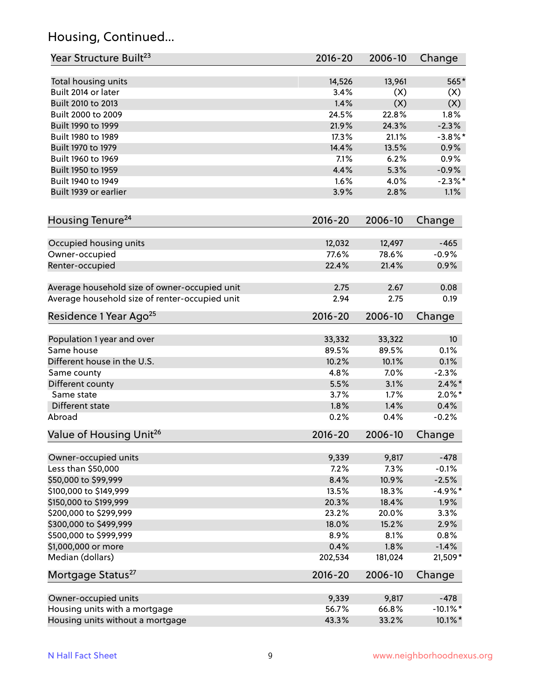## Housing, Continued...

| Year Structure Built <sup>23</sup>             | 2016-20     | 2006-10 | Change          |
|------------------------------------------------|-------------|---------|-----------------|
| Total housing units                            | 14,526      | 13,961  | 565*            |
| Built 2014 or later                            | 3.4%        | (X)     | (X)             |
| Built 2010 to 2013                             | 1.4%        | (X)     | (X)             |
| Built 2000 to 2009                             | 24.5%       | 22.8%   | 1.8%            |
| Built 1990 to 1999                             | 21.9%       | 24.3%   | $-2.3%$         |
| Built 1980 to 1989                             | 17.3%       | 21.1%   | $-3.8\%$ *      |
| Built 1970 to 1979                             | 14.4%       | 13.5%   | 0.9%            |
| Built 1960 to 1969                             | 7.1%        | 6.2%    | 0.9%            |
| Built 1950 to 1959                             | 4.4%        | 5.3%    | $-0.9%$         |
| Built 1940 to 1949                             | 1.6%        | 4.0%    | $-2.3%$ *       |
| Built 1939 or earlier                          | 3.9%        | 2.8%    | 1.1%            |
|                                                |             |         |                 |
| Housing Tenure <sup>24</sup>                   | $2016 - 20$ | 2006-10 | Change          |
| Occupied housing units                         | 12,032      | 12,497  | $-465$          |
| Owner-occupied                                 | 77.6%       | 78.6%   | $-0.9%$         |
| Renter-occupied                                | 22.4%       | 21.4%   | 0.9%            |
|                                                |             |         |                 |
| Average household size of owner-occupied unit  | 2.75        | 2.67    | 0.08            |
| Average household size of renter-occupied unit | 2.94        | 2.75    | 0.19            |
| Residence 1 Year Ago <sup>25</sup>             | $2016 - 20$ | 2006-10 | Change          |
|                                                |             |         |                 |
| Population 1 year and over                     | 33,332      | 33,322  | 10 <sup>°</sup> |
| Same house                                     | 89.5%       | 89.5%   | 0.1%            |
| Different house in the U.S.                    | 10.2%       | 10.1%   | 0.1%            |
| Same county                                    | 4.8%        | 7.0%    | $-2.3%$         |
| Different county                               | 5.5%        | 3.1%    | $2.4\%$ *       |
| Same state                                     | 3.7%        | 1.7%    | $2.0\%$ *       |
| Different state                                | 1.8%        | 1.4%    | 0.4%            |
| Abroad                                         | 0.2%        | 0.4%    | $-0.2%$         |
| Value of Housing Unit <sup>26</sup>            | 2016-20     | 2006-10 | Change          |
|                                                |             |         |                 |
| Owner-occupied units                           | 9,339       | 9,817   | $-478$          |
| Less than \$50,000                             | 7.2%        | 7.3%    | $-0.1%$         |
| \$50,000 to \$99,999                           | 8.4%        | 10.9%   | $-2.5%$         |
| \$100,000 to \$149,999                         | 13.5%       | 18.3%   | $-4.9%$ *       |
| \$150,000 to \$199,999                         | 20.3%       | 18.4%   | 1.9%            |
| \$200,000 to \$299,999                         | 23.2%       | 20.0%   | 3.3%            |
| \$300,000 to \$499,999                         | 18.0%       | 15.2%   | 2.9%            |
| \$500,000 to \$999,999                         | 8.9%        | 8.1%    | 0.8%            |
| \$1,000,000 or more                            | 0.4%        | 1.8%    | $-1.4%$         |
| Median (dollars)                               | 202,534     | 181,024 | 21,509*         |
| Mortgage Status <sup>27</sup>                  | $2016 - 20$ | 2006-10 | Change          |
| Owner-occupied units                           | 9,339       | 9,817   | $-478$          |
| Housing units with a mortgage                  | 56.7%       | 66.8%   | $-10.1\%$ *     |
| Housing units without a mortgage               | 43.3%       | 33.2%   | 10.1%*          |
|                                                |             |         |                 |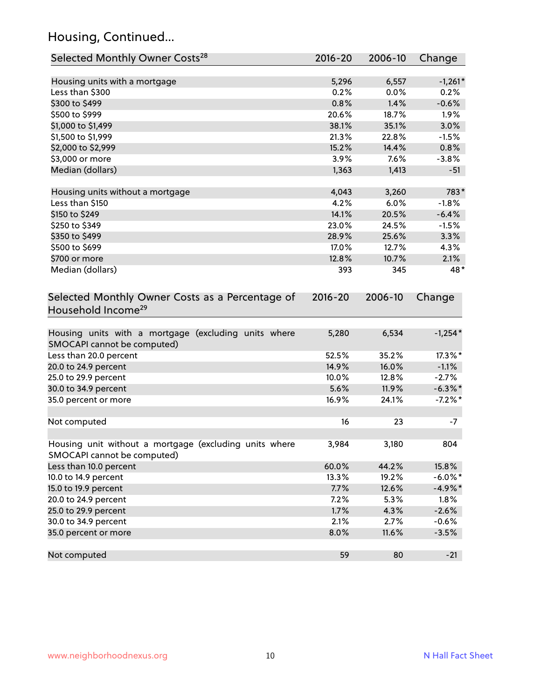## Housing, Continued...

| Selected Monthly Owner Costs <sup>28</sup>                                            | 2016-20     | 2006-10 | Change     |
|---------------------------------------------------------------------------------------|-------------|---------|------------|
| Housing units with a mortgage                                                         | 5,296       | 6,557   | $-1,261*$  |
| Less than \$300                                                                       | 0.2%        | 0.0%    | 0.2%       |
| \$300 to \$499                                                                        | 0.8%        | 1.4%    | $-0.6%$    |
| \$500 to \$999                                                                        | 20.6%       | 18.7%   | 1.9%       |
| \$1,000 to \$1,499                                                                    | 38.1%       | 35.1%   | 3.0%       |
| \$1,500 to \$1,999                                                                    | 21.3%       | 22.8%   | $-1.5%$    |
| \$2,000 to \$2,999                                                                    | 15.2%       | 14.4%   | 0.8%       |
| \$3,000 or more                                                                       | 3.9%        | 7.6%    | $-3.8%$    |
| Median (dollars)                                                                      | 1,363       | 1,413   | $-51$      |
| Housing units without a mortgage                                                      | 4,043       | 3,260   | 783*       |
| Less than \$150                                                                       | 4.2%        | 6.0%    | $-1.8%$    |
| \$150 to \$249                                                                        | 14.1%       | 20.5%   | $-6.4%$    |
| \$250 to \$349                                                                        | 23.0%       | 24.5%   | $-1.5%$    |
| \$350 to \$499                                                                        | 28.9%       | 25.6%   | 3.3%       |
| \$500 to \$699                                                                        | 17.0%       | 12.7%   | 4.3%       |
| \$700 or more                                                                         | 12.8%       | 10.7%   | 2.1%       |
| Median (dollars)                                                                      | 393         | 345     | 48*        |
| Selected Monthly Owner Costs as a Percentage of<br>Household Income <sup>29</sup>     | $2016 - 20$ | 2006-10 | Change     |
| Housing units with a mortgage (excluding units where<br>SMOCAPI cannot be computed)   | 5,280       | 6,534   | $-1,254*$  |
| Less than 20.0 percent                                                                | 52.5%       | 35.2%   | 17.3%*     |
| 20.0 to 24.9 percent                                                                  | 14.9%       | 16.0%   | $-1.1%$    |
| 25.0 to 29.9 percent                                                                  | 10.0%       | 12.8%   | $-2.7%$    |
| 30.0 to 34.9 percent                                                                  | 5.6%        | 11.9%   | $-6.3\%$ * |
| 35.0 percent or more                                                                  | 16.9%       | 24.1%   | $-7.2\%$ * |
| Not computed                                                                          | 16          | 23      | $-7$       |
| Housing unit without a mortgage (excluding units where<br>SMOCAPI cannot be computed) | 3,984       | 3,180   | 804        |
| Less than 10.0 percent                                                                | 60.0%       | 44.2%   | 15.8%      |
| 10.0 to 14.9 percent                                                                  | 13.3%       | 19.2%   | $-6.0\%$ * |
| 15.0 to 19.9 percent                                                                  | 7.7%        | 12.6%   | $-4.9\%*$  |
| 20.0 to 24.9 percent                                                                  | 7.2%        | 5.3%    | 1.8%       |
| 25.0 to 29.9 percent                                                                  | 1.7%        | 4.3%    | $-2.6%$    |
| 30.0 to 34.9 percent                                                                  | 2.1%        | 2.7%    | $-0.6%$    |
| 35.0 percent or more                                                                  | 8.0%        | 11.6%   | $-3.5%$    |
| Not computed                                                                          | 59          | 80      | $-21$      |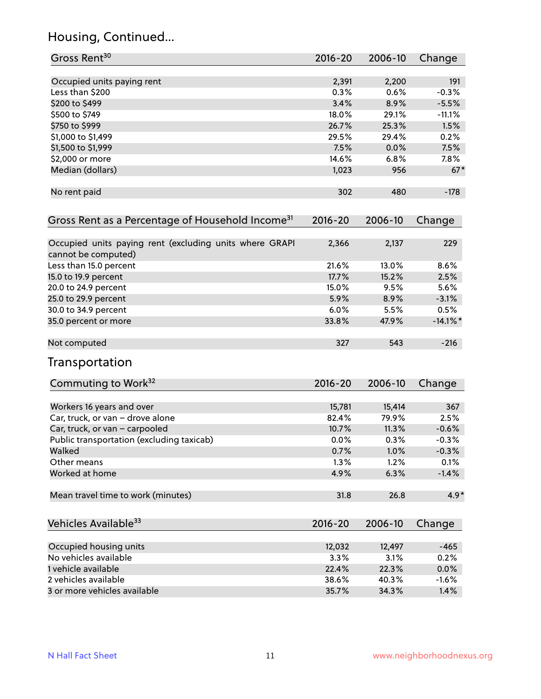# Housing, Continued...

| Occupied units paying rent<br>2,391<br>2,200<br>191<br>0.3%<br>Less than \$200<br>0.6%<br>$-0.3%$<br>3.4%<br>\$200 to \$499<br>8.9%<br>$-5.5%$<br>\$500 to \$749<br>18.0%<br>29.1%<br>$-11.1%$<br>26.7%<br>25.3%<br>1.5%<br>\$750 to \$999<br>\$1,000 to \$1,499<br>29.5%<br>0.2%<br>29.4%<br>7.5%<br>\$1,500 to \$1,999<br>0.0%<br>7.5%<br>14.6%<br>\$2,000 or more<br>6.8%<br>$7.8\%$<br>Median (dollars)<br>1,023<br>956<br>$67*$<br>302<br>480<br>$-178$<br>No rent paid<br>2006-10<br>$2016 - 20$<br>Change<br>2,366<br>2,137<br>229<br>cannot be computed)<br>21.6%<br>13.0%<br>8.6%<br>Less than 15.0 percent<br>15.2%<br>17.7%<br>2.5%<br>15.0 to 19.9 percent<br>5.6%<br>20.0 to 24.9 percent<br>15.0%<br>9.5%<br>8.9%<br>25.0 to 29.9 percent<br>5.9%<br>$-3.1%$<br>30.0 to 34.9 percent<br>6.0%<br>5.5%<br>0.5%<br>35.0 percent or more<br>33.8%<br>47.9%<br>$-14.1\%$ *<br>543<br>$-216$<br>327<br>Commuting to Work <sup>32</sup><br>2016-20<br>2006-10<br>Change<br>15,781<br>15,414<br>367<br>Workers 16 years and over<br>2.5%<br>Car, truck, or van - drove alone<br>82.4%<br>79.9%<br>Car, truck, or van - carpooled<br>10.7%<br>11.3%<br>$-0.6%$<br>Public transportation (excluding taxicab)<br>0.0%<br>0.3%<br>$-0.3%$<br>Walked<br>1.0%<br>0.7%<br>$-0.3%$<br>1.3%<br>Other means<br>1.2%<br>0.1%<br>Worked at home<br>4.9%<br>6.3%<br>$-1.4%$<br>Mean travel time to work (minutes)<br>26.8<br>31.8<br>2016-20<br>2006-10<br>Change<br>Occupied housing units<br>$-465$<br>12,032<br>12,497<br>3.3%<br>3.1%<br>0.2%<br>22.4%<br>22.3%<br>$0.0\%$<br>38.6%<br>40.3%<br>$-1.6%$<br>34.3%<br>35.7%<br>1.4% | Gross Rent <sup>30</sup>                                     | 2016-20 | 2006-10 | Change |
|--------------------------------------------------------------------------------------------------------------------------------------------------------------------------------------------------------------------------------------------------------------------------------------------------------------------------------------------------------------------------------------------------------------------------------------------------------------------------------------------------------------------------------------------------------------------------------------------------------------------------------------------------------------------------------------------------------------------------------------------------------------------------------------------------------------------------------------------------------------------------------------------------------------------------------------------------------------------------------------------------------------------------------------------------------------------------------------------------------------------------------------------------------------------------------------------------------------------------------------------------------------------------------------------------------------------------------------------------------------------------------------------------------------------------------------------------------------------------------------------------------------------------------------------------------------------------------------------------------------------------------|--------------------------------------------------------------|---------|---------|--------|
|                                                                                                                                                                                                                                                                                                                                                                                                                                                                                                                                                                                                                                                                                                                                                                                                                                                                                                                                                                                                                                                                                                                                                                                                                                                                                                                                                                                                                                                                                                                                                                                                                                |                                                              |         |         |        |
|                                                                                                                                                                                                                                                                                                                                                                                                                                                                                                                                                                                                                                                                                                                                                                                                                                                                                                                                                                                                                                                                                                                                                                                                                                                                                                                                                                                                                                                                                                                                                                                                                                |                                                              |         |         |        |
|                                                                                                                                                                                                                                                                                                                                                                                                                                                                                                                                                                                                                                                                                                                                                                                                                                                                                                                                                                                                                                                                                                                                                                                                                                                                                                                                                                                                                                                                                                                                                                                                                                |                                                              |         |         |        |
|                                                                                                                                                                                                                                                                                                                                                                                                                                                                                                                                                                                                                                                                                                                                                                                                                                                                                                                                                                                                                                                                                                                                                                                                                                                                                                                                                                                                                                                                                                                                                                                                                                |                                                              |         |         |        |
|                                                                                                                                                                                                                                                                                                                                                                                                                                                                                                                                                                                                                                                                                                                                                                                                                                                                                                                                                                                                                                                                                                                                                                                                                                                                                                                                                                                                                                                                                                                                                                                                                                |                                                              |         |         |        |
|                                                                                                                                                                                                                                                                                                                                                                                                                                                                                                                                                                                                                                                                                                                                                                                                                                                                                                                                                                                                                                                                                                                                                                                                                                                                                                                                                                                                                                                                                                                                                                                                                                |                                                              |         |         |        |
|                                                                                                                                                                                                                                                                                                                                                                                                                                                                                                                                                                                                                                                                                                                                                                                                                                                                                                                                                                                                                                                                                                                                                                                                                                                                                                                                                                                                                                                                                                                                                                                                                                |                                                              |         |         |        |
|                                                                                                                                                                                                                                                                                                                                                                                                                                                                                                                                                                                                                                                                                                                                                                                                                                                                                                                                                                                                                                                                                                                                                                                                                                                                                                                                                                                                                                                                                                                                                                                                                                |                                                              |         |         |        |
|                                                                                                                                                                                                                                                                                                                                                                                                                                                                                                                                                                                                                                                                                                                                                                                                                                                                                                                                                                                                                                                                                                                                                                                                                                                                                                                                                                                                                                                                                                                                                                                                                                |                                                              |         |         |        |
|                                                                                                                                                                                                                                                                                                                                                                                                                                                                                                                                                                                                                                                                                                                                                                                                                                                                                                                                                                                                                                                                                                                                                                                                                                                                                                                                                                                                                                                                                                                                                                                                                                |                                                              |         |         |        |
|                                                                                                                                                                                                                                                                                                                                                                                                                                                                                                                                                                                                                                                                                                                                                                                                                                                                                                                                                                                                                                                                                                                                                                                                                                                                                                                                                                                                                                                                                                                                                                                                                                |                                                              |         |         |        |
|                                                                                                                                                                                                                                                                                                                                                                                                                                                                                                                                                                                                                                                                                                                                                                                                                                                                                                                                                                                                                                                                                                                                                                                                                                                                                                                                                                                                                                                                                                                                                                                                                                | Gross Rent as a Percentage of Household Income <sup>31</sup> |         |         |        |
|                                                                                                                                                                                                                                                                                                                                                                                                                                                                                                                                                                                                                                                                                                                                                                                                                                                                                                                                                                                                                                                                                                                                                                                                                                                                                                                                                                                                                                                                                                                                                                                                                                | Occupied units paying rent (excluding units where GRAPI      |         |         |        |
|                                                                                                                                                                                                                                                                                                                                                                                                                                                                                                                                                                                                                                                                                                                                                                                                                                                                                                                                                                                                                                                                                                                                                                                                                                                                                                                                                                                                                                                                                                                                                                                                                                |                                                              |         |         |        |
|                                                                                                                                                                                                                                                                                                                                                                                                                                                                                                                                                                                                                                                                                                                                                                                                                                                                                                                                                                                                                                                                                                                                                                                                                                                                                                                                                                                                                                                                                                                                                                                                                                |                                                              |         |         |        |
|                                                                                                                                                                                                                                                                                                                                                                                                                                                                                                                                                                                                                                                                                                                                                                                                                                                                                                                                                                                                                                                                                                                                                                                                                                                                                                                                                                                                                                                                                                                                                                                                                                |                                                              |         |         |        |
|                                                                                                                                                                                                                                                                                                                                                                                                                                                                                                                                                                                                                                                                                                                                                                                                                                                                                                                                                                                                                                                                                                                                                                                                                                                                                                                                                                                                                                                                                                                                                                                                                                |                                                              |         |         |        |
|                                                                                                                                                                                                                                                                                                                                                                                                                                                                                                                                                                                                                                                                                                                                                                                                                                                                                                                                                                                                                                                                                                                                                                                                                                                                                                                                                                                                                                                                                                                                                                                                                                |                                                              |         |         |        |
|                                                                                                                                                                                                                                                                                                                                                                                                                                                                                                                                                                                                                                                                                                                                                                                                                                                                                                                                                                                                                                                                                                                                                                                                                                                                                                                                                                                                                                                                                                                                                                                                                                |                                                              |         |         |        |
|                                                                                                                                                                                                                                                                                                                                                                                                                                                                                                                                                                                                                                                                                                                                                                                                                                                                                                                                                                                                                                                                                                                                                                                                                                                                                                                                                                                                                                                                                                                                                                                                                                |                                                              |         |         |        |
|                                                                                                                                                                                                                                                                                                                                                                                                                                                                                                                                                                                                                                                                                                                                                                                                                                                                                                                                                                                                                                                                                                                                                                                                                                                                                                                                                                                                                                                                                                                                                                                                                                | Not computed                                                 |         |         |        |
|                                                                                                                                                                                                                                                                                                                                                                                                                                                                                                                                                                                                                                                                                                                                                                                                                                                                                                                                                                                                                                                                                                                                                                                                                                                                                                                                                                                                                                                                                                                                                                                                                                | Transportation                                               |         |         |        |
|                                                                                                                                                                                                                                                                                                                                                                                                                                                                                                                                                                                                                                                                                                                                                                                                                                                                                                                                                                                                                                                                                                                                                                                                                                                                                                                                                                                                                                                                                                                                                                                                                                |                                                              |         |         |        |
|                                                                                                                                                                                                                                                                                                                                                                                                                                                                                                                                                                                                                                                                                                                                                                                                                                                                                                                                                                                                                                                                                                                                                                                                                                                                                                                                                                                                                                                                                                                                                                                                                                |                                                              |         |         |        |
|                                                                                                                                                                                                                                                                                                                                                                                                                                                                                                                                                                                                                                                                                                                                                                                                                                                                                                                                                                                                                                                                                                                                                                                                                                                                                                                                                                                                                                                                                                                                                                                                                                |                                                              |         |         |        |
|                                                                                                                                                                                                                                                                                                                                                                                                                                                                                                                                                                                                                                                                                                                                                                                                                                                                                                                                                                                                                                                                                                                                                                                                                                                                                                                                                                                                                                                                                                                                                                                                                                |                                                              |         |         |        |
|                                                                                                                                                                                                                                                                                                                                                                                                                                                                                                                                                                                                                                                                                                                                                                                                                                                                                                                                                                                                                                                                                                                                                                                                                                                                                                                                                                                                                                                                                                                                                                                                                                |                                                              |         |         |        |
|                                                                                                                                                                                                                                                                                                                                                                                                                                                                                                                                                                                                                                                                                                                                                                                                                                                                                                                                                                                                                                                                                                                                                                                                                                                                                                                                                                                                                                                                                                                                                                                                                                |                                                              |         |         |        |
|                                                                                                                                                                                                                                                                                                                                                                                                                                                                                                                                                                                                                                                                                                                                                                                                                                                                                                                                                                                                                                                                                                                                                                                                                                                                                                                                                                                                                                                                                                                                                                                                                                |                                                              |         |         |        |
|                                                                                                                                                                                                                                                                                                                                                                                                                                                                                                                                                                                                                                                                                                                                                                                                                                                                                                                                                                                                                                                                                                                                                                                                                                                                                                                                                                                                                                                                                                                                                                                                                                |                                                              |         |         |        |
|                                                                                                                                                                                                                                                                                                                                                                                                                                                                                                                                                                                                                                                                                                                                                                                                                                                                                                                                                                                                                                                                                                                                                                                                                                                                                                                                                                                                                                                                                                                                                                                                                                |                                                              |         |         |        |
|                                                                                                                                                                                                                                                                                                                                                                                                                                                                                                                                                                                                                                                                                                                                                                                                                                                                                                                                                                                                                                                                                                                                                                                                                                                                                                                                                                                                                                                                                                                                                                                                                                |                                                              |         |         | $4.9*$ |
|                                                                                                                                                                                                                                                                                                                                                                                                                                                                                                                                                                                                                                                                                                                                                                                                                                                                                                                                                                                                                                                                                                                                                                                                                                                                                                                                                                                                                                                                                                                                                                                                                                | Vehicles Available <sup>33</sup>                             |         |         |        |
|                                                                                                                                                                                                                                                                                                                                                                                                                                                                                                                                                                                                                                                                                                                                                                                                                                                                                                                                                                                                                                                                                                                                                                                                                                                                                                                                                                                                                                                                                                                                                                                                                                |                                                              |         |         |        |
|                                                                                                                                                                                                                                                                                                                                                                                                                                                                                                                                                                                                                                                                                                                                                                                                                                                                                                                                                                                                                                                                                                                                                                                                                                                                                                                                                                                                                                                                                                                                                                                                                                | No vehicles available                                        |         |         |        |
|                                                                                                                                                                                                                                                                                                                                                                                                                                                                                                                                                                                                                                                                                                                                                                                                                                                                                                                                                                                                                                                                                                                                                                                                                                                                                                                                                                                                                                                                                                                                                                                                                                | 1 vehicle available                                          |         |         |        |
|                                                                                                                                                                                                                                                                                                                                                                                                                                                                                                                                                                                                                                                                                                                                                                                                                                                                                                                                                                                                                                                                                                                                                                                                                                                                                                                                                                                                                                                                                                                                                                                                                                | 2 vehicles available                                         |         |         |        |
|                                                                                                                                                                                                                                                                                                                                                                                                                                                                                                                                                                                                                                                                                                                                                                                                                                                                                                                                                                                                                                                                                                                                                                                                                                                                                                                                                                                                                                                                                                                                                                                                                                | 3 or more vehicles available                                 |         |         |        |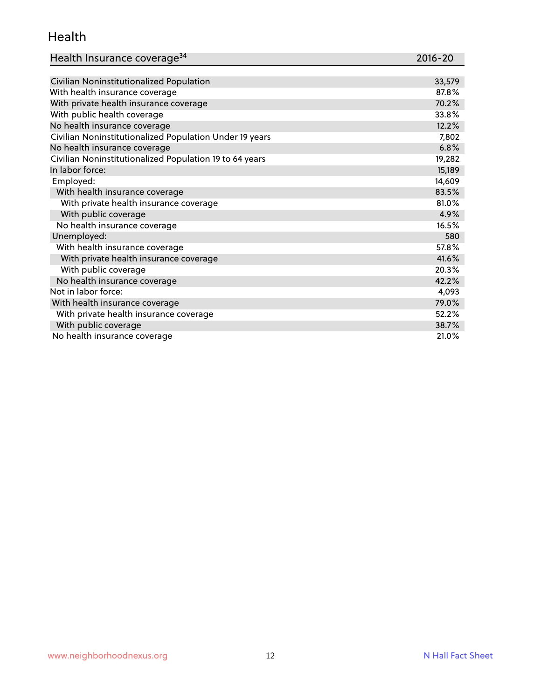#### Health

| Health Insurance coverage <sup>34</sup> | 2016-20 |
|-----------------------------------------|---------|
|-----------------------------------------|---------|

| Civilian Noninstitutionalized Population                | 33,579 |
|---------------------------------------------------------|--------|
| With health insurance coverage                          | 87.8%  |
| With private health insurance coverage                  | 70.2%  |
| With public health coverage                             | 33.8%  |
| No health insurance coverage                            | 12.2%  |
| Civilian Noninstitutionalized Population Under 19 years | 7,802  |
| No health insurance coverage                            | 6.8%   |
| Civilian Noninstitutionalized Population 19 to 64 years | 19,282 |
| In labor force:                                         | 15,189 |
| Employed:                                               | 14,609 |
| With health insurance coverage                          | 83.5%  |
| With private health insurance coverage                  | 81.0%  |
| With public coverage                                    | 4.9%   |
| No health insurance coverage                            | 16.5%  |
| Unemployed:                                             | 580    |
| With health insurance coverage                          | 57.8%  |
| With private health insurance coverage                  | 41.6%  |
| With public coverage                                    | 20.3%  |
| No health insurance coverage                            | 42.2%  |
| Not in labor force:                                     | 4,093  |
| With health insurance coverage                          | 79.0%  |
| With private health insurance coverage                  | 52.2%  |
| With public coverage                                    | 38.7%  |
| No health insurance coverage                            | 21.0%  |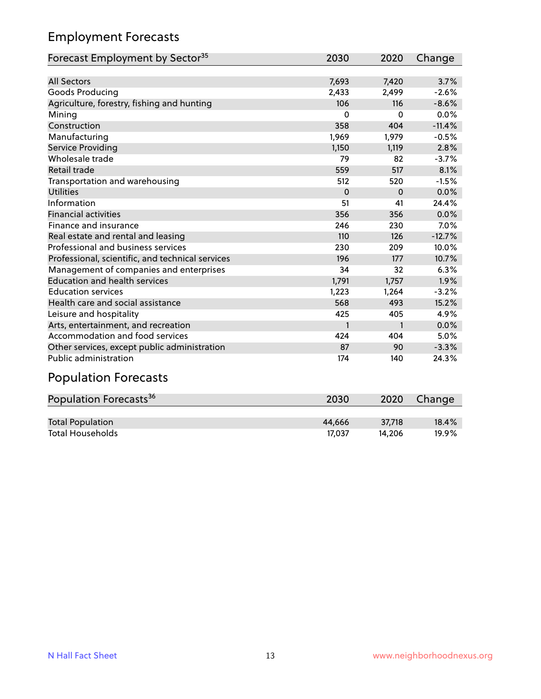## Employment Forecasts

| Forecast Employment by Sector <sup>35</sup>      | 2030         | 2020         | Change   |
|--------------------------------------------------|--------------|--------------|----------|
|                                                  |              |              |          |
| <b>All Sectors</b>                               | 7,693        | 7,420        | 3.7%     |
| Goods Producing                                  | 2,433        | 2,499        | $-2.6%$  |
| Agriculture, forestry, fishing and hunting       | 106          | 116          | $-8.6%$  |
| Mining                                           | 0            | $\Omega$     | 0.0%     |
| Construction                                     | 358          | 404          | $-11.4%$ |
| Manufacturing                                    | 1,969        | 1,979        | $-0.5%$  |
| Service Providing                                | 1,150        | 1,119        | 2.8%     |
| Wholesale trade                                  | 79           | 82           | $-3.7%$  |
| Retail trade                                     | 559          | 517          | 8.1%     |
| Transportation and warehousing                   | 512          | 520          | $-1.5%$  |
| <b>Utilities</b>                                 | $\Omega$     | $\Omega$     | 0.0%     |
| Information                                      | 51           | 41           | 24.4%    |
| <b>Financial activities</b>                      | 356          | 356          | 0.0%     |
| Finance and insurance                            | 246          | 230          | 7.0%     |
| Real estate and rental and leasing               | 110          | 126          | $-12.7%$ |
| Professional and business services               | 230          | 209          | 10.0%    |
| Professional, scientific, and technical services | 196          | 177          | 10.7%    |
| Management of companies and enterprises          | 34           | 32           | 6.3%     |
| <b>Education and health services</b>             | 1,791        | 1,757        | 1.9%     |
| <b>Education services</b>                        | 1,223        | 1,264        | $-3.2%$  |
| Health care and social assistance                | 568          | 493          | 15.2%    |
| Leisure and hospitality                          | 425          | 405          | 4.9%     |
| Arts, entertainment, and recreation              | $\mathbf{1}$ | $\mathbf{1}$ | 0.0%     |
| Accommodation and food services                  | 424          | 404          | 5.0%     |
| Other services, except public administration     | 87           | 90           | $-3.3%$  |
| <b>Public administration</b>                     | 174          | 140          | 24.3%    |

## Population Forecasts

| Population Forecasts <sup>36</sup> | 2030   | 2020   | Change |
|------------------------------------|--------|--------|--------|
|                                    |        |        |        |
| <b>Total Population</b>            | 44.666 | 37.718 | 18.4%  |
| <b>Total Households</b>            | 17.037 | 14.206 | 19.9%  |